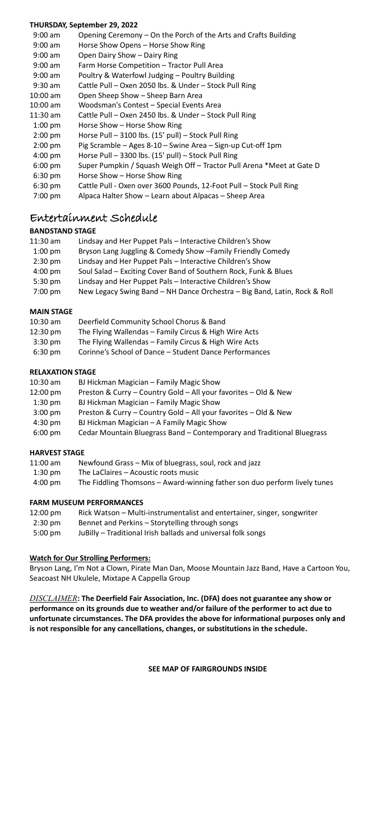#### **THURSDAY, September 29, 2022**

| 9:00 am   | Opening Ceremony - On the Porch of the Arts and Crafts Building       |
|-----------|-----------------------------------------------------------------------|
| $9:00$ am | Horse Show Opens - Horse Show Ring                                    |
| $9:00$ am | Open Dairy Show - Dairy Ring                                          |
| 9:00 am   | Farm Horse Competition - Tractor Pull Area                            |
| $9:00$ am | Poultry & Waterfowl Judging - Poultry Building                        |
| $9:30$ am | Cattle Pull - Oxen 2050 lbs. & Under - Stock Pull Ring                |
| 10:00 am  | Open Sheep Show - Sheep Barn Area                                     |
| 10:00 am  | Woodsman's Contest - Special Events Area                              |
| 11:30 am  | Cattle Pull - Oxen 2450 lbs. & Under - Stock Pull Ring                |
| $1:00$ pm | Horse Show - Horse Show Ring                                          |
| $2:00$ pm | Horse Pull - 3100 lbs. (15' pull) - Stock Pull Ring                   |
| $2:00$ pm | Pig Scramble - Ages 8-10 - Swine Area - Sign-up Cut-off 1pm           |
| $4:00$ pm | Horse Pull - 3300 lbs. (15' pull) - Stock Pull Ring                   |
| $6:00$ pm | Super Pumpkin / Squash Weigh Off - Tractor Pull Arena *Meet at Gate D |
| 6:30 pm   | Horse Show - Horse Show Ring                                          |
| 6:30 pm   | Cattle Pull - Oxen over 3600 Pounds, 12-Foot Pull - Stock Pull Ring   |
| 7:00 pm   | Alpaca Halter Show - Learn about Alpacas - Sheep Area                 |
|           |                                                                       |

# Entertainment Schedule

# **BANDSTAND STAGE**

| $11:30$ am | Lindsay and Her Puppet Pals - Interactive Children's Show                 |
|------------|---------------------------------------------------------------------------|
| $1:00$ pm  | Bryson Lang Juggling & Comedy Show - Family Friendly Comedy               |
| $2:30$ pm  | Lindsay and Her Puppet Pals - Interactive Children's Show                 |
| $4:00$ pm  | Soul Salad - Exciting Cover Band of Southern Rock, Funk & Blues           |
| 5:30 pm    | Lindsay and Her Puppet Pals - Interactive Children's Show                 |
| 7:00 pm    | New Legacy Swing Band - NH Dance Orchestra - Big Band, Latin, Rock & Roll |
|            |                                                                           |

# **MAIN STAGE**

| $10:30$ am | Deerfield Community School Chorus & Band               |
|------------|--------------------------------------------------------|
| 12:30 pm   | The Flying Wallendas - Family Circus & High Wire Acts  |
| $3:30$ pm  | The Flying Wallendas - Family Circus & High Wire Acts  |
| $6:30$ pm  | Corinne's School of Dance - Student Dance Performances |

#### **RELAXATION STAGE**

| 10:30 am  | BJ Hickman Magician - Family Magic Show                                |
|-----------|------------------------------------------------------------------------|
| 12:00 pm  | Preston & Curry - Country Gold - All your favorites - Old & New        |
| $1:30$ pm | BJ Hickman Magician - Family Magic Show                                |
| $3:00$ pm | Preston & Curry - Country Gold - All your favorites - Old & New        |
| $4:30$ pm | BJ Hickman Magician - A Family Magic Show                              |
| $6:00$ pm | Cedar Mountain Bluegrass Band - Contemporary and Traditional Bluegrass |
|           |                                                                        |

# **HARVEST STAGE**

| 11:00 am  | Newfound Grass - Mix of bluegrass, soul, rock and jazz                    |
|-----------|---------------------------------------------------------------------------|
| $1:30$ pm | The LaClaires - Acoustic roots music                                      |
| 4:00 pm   | The Fiddling Thomsons - Award-winning father son duo perform lively tunes |

#### **FARM MUSEUM PERFORMANCES**

| 12:00 pm  | Rick Watson - Multi-instrumentalist and entertainer, singer, songwriter |
|-----------|-------------------------------------------------------------------------|
| $2:30$ pm | Bennet and Perkins - Storytelling through songs                         |
| $5:00$ pm | JuBilly - Traditional Irish ballads and universal folk songs            |

# **Watch for Our Strolling Performers:**

Bryson Lang, I'm Not a Clown, Pirate Man Dan, Moose Mountain Jazz Band, Have a Cartoon You, Seacoast NH Ukulele, Mixtape A Cappella Group

*DISCLAIMER***: The Deerfield Fair Association, Inc. (DFA) does not guarantee any show or performance on its grounds due to weather and/or failure of the performer to act due to unfortunate circumstances. The DFA provides the above for informational purposes only and is not responsible for any cancellations, changes, or substitutions in the schedule.**

**SEE MAP OF FAIRGROUNDS INSIDE**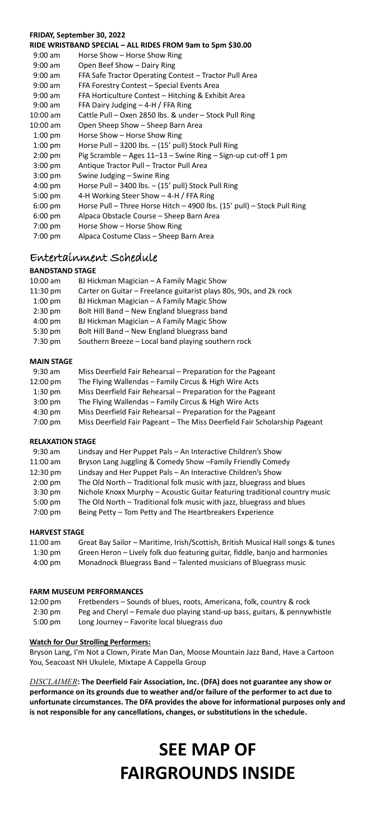#### **FRIDAY, September 30, 2022**

|           | RIDE WRISTBAND SPECIAL - ALL RIDES FROM 9am to 5pm \$30.00              |
|-----------|-------------------------------------------------------------------------|
| $9:00$ am | Horse Show - Horse Show Ring                                            |
| $9:00$ am | Open Beef Show - Dairy Ring                                             |
| $9:00$ am | FFA Safe Tractor Operating Contest - Tractor Pull Area                  |
| $9:00$ am | FFA Forestry Contest - Special Events Area                              |
| $9:00$ am | FFA Horticulture Contest - Hitching & Exhibit Area                      |
| $9:00$ am | FFA Dairy Judging - 4-H / FFA Ring                                      |
| 10:00 am  | Cattle Pull - Oxen 2850 lbs. & under - Stock Pull Ring                  |
| 10:00 am  | Open Sheep Show - Sheep Barn Area                                       |
| $1:00$ pm | Horse Show - Horse Show Ring                                            |
| $1:00$ pm | Horse Pull - 3200 lbs. - (15' pull) Stock Pull Ring                     |
| $2:00$ pm | Pig Scramble - Ages 11-13 - Swine Ring - Sign-up cut-off 1 pm           |
| $3:00$ pm | Antique Tractor Pull - Tractor Pull Area                                |
| $3:00$ pm | Swine Judging - Swine Ring                                              |
| $4:00$ pm | Horse Pull - 3400 lbs. - (15' pull) Stock Pull Ring                     |
| 5:00 pm   | 4-H Working Steer Show - 4-H / FFA Ring                                 |
| $6:00$ pm | Horse Pull - Three Horse Hitch - 4900 lbs. (15' pull) - Stock Pull Ring |
| $6:00$ pm | Alpaca Obstacle Course - Sheep Barn Area                                |
| 7:00 pm   | Horse Show - Horse Show Ring                                            |
| 7:00 pm   | Alpaca Costume Class - Sheep Barn Area                                  |
|           |                                                                         |

# Entertainment Schedule

# **BANDSTAND STAGE**

| 10:00 am  | BJ Hickman Magician - A Family Magic Show                          |
|-----------|--------------------------------------------------------------------|
| 11:30 pm  | Carter on Guitar - Freelance guitarist plays 80s, 90s, and 2k rock |
| $1:00$ pm | BJ Hickman Magician - A Family Magic Show                          |
| $2:30$ pm | Bolt Hill Band - New England bluegrass band                        |
| $4:00$ pm | BJ Hickman Magician - A Family Magic Show                          |
| 5:30 pm   | Bolt Hill Band - New England bluegrass band                        |
| $7:30$ pm | Southern Breeze - Local band playing southern rock                 |
|           |                                                                    |

#### **MAIN STAGE**

| $9:30$ am | Miss Deerfield Fair Rehearsal - Preparation for the Pageant               |
|-----------|---------------------------------------------------------------------------|
| 12:00 pm  | The Flying Wallendas - Family Circus & High Wire Acts                     |
| $1:30$ pm | Miss Deerfield Fair Rehearsal - Preparation for the Pageant               |
| $3:00$ pm | The Flying Wallendas - Family Circus & High Wire Acts                     |
| $4:30$ pm | Miss Deerfield Fair Rehearsal - Preparation for the Pageant               |
| 7:00 pm   | Miss Deerfield Fair Pageant - The Miss Deerfield Fair Scholarship Pageant |
|           |                                                                           |

#### **RELAXATION STAGE**

| $9:30$ am  | Lindsay and Her Puppet Pals - An Interactive Children's Show               |
|------------|----------------------------------------------------------------------------|
| $11:00$ am | Bryson Lang Juggling & Comedy Show - Family Friendly Comedy                |
| 12:30 pm   | Lindsay and Her Puppet Pals - An Interactive Children's Show               |
| $2:00$ pm  | The Old North - Traditional folk music with jazz, bluegrass and blues      |
| $3:30$ pm  | Nichole Knoxx Murphy - Acoustic Guitar featuring traditional country music |
| $5:00$ pm  | The Old North - Traditional folk music with jazz, bluegrass and blues      |
| 7:00 pm    | Being Petty - Tom Petty and The Heartbreakers Experience                   |

# **HARVEST STAGE**

| 11:00 am  | Great Bay Sailor - Maritime, Irish/Scottish, British Musical Hall songs & tunes |
|-----------|---------------------------------------------------------------------------------|
| $1:30$ pm | Green Heron - Lively folk duo featuring guitar, fiddle, banjo and harmonies     |
| 4:00 pm   | Monadnock Bluegrass Band - Talented musicians of Bluegrass music                |

## **FARM MUSEUM PERFORMANCES**

| 12:00 pm  | Fretbenders - Sounds of blues, roots, Americana, folk, country & rock      |
|-----------|----------------------------------------------------------------------------|
| $2:30$ pm | Peg and Cheryl - Female duo playing stand-up bass, guitars, & pennywhistle |
| $5:00$ pm | Long Journey - Favorite local bluegrass duo                                |

# **Watch for Our Strolling Performers:**

Bryson Lang, I'm Not a Clown, Pirate Man Dan, Moose Mountain Jazz Band, Have a Cartoon You, Seacoast NH Ukulele, Mixtape A Cappella Group

*DISCLAIMER***: The Deerfield Fair Association, Inc. (DFA) does not guarantee any show or performance on its grounds due to weather and/or failure of the performer to act due to unfortunate circumstances. The DFA provides the above for informational purposes only and is not responsible for any cancellations, changes, or substitutions in the schedule.**

# **SEE MAP OF FAIRGROUNDS INSIDE**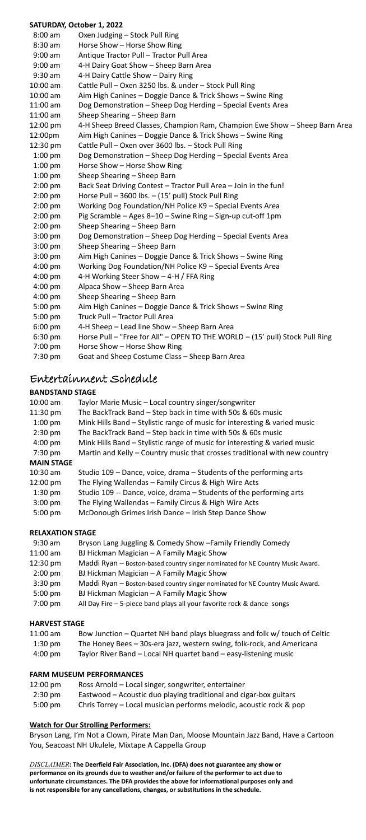#### **SATURDAY, October 1, 2022**

| 8:00 am   | Oxen Judging - Stock Pull Ring                                               |
|-----------|------------------------------------------------------------------------------|
| $8:30$ am | Horse Show - Horse Show Ring                                                 |
| $9:00$ am | Antique Tractor Pull - Tractor Pull Area                                     |
| $9:00$ am | 4-H Dairy Goat Show - Sheep Barn Area                                        |
| 9:30 am   | 4-H Dairy Cattle Show - Dairy Ring                                           |
| 10:00 am  | Cattle Pull - Oxen 3250 lbs. & under - Stock Pull Ring                       |
| 10:00 am  | Aim High Canines - Doggie Dance & Trick Shows - Swine Ring                   |
| 11:00 am  | Dog Demonstration - Sheep Dog Herding - Special Events Area                  |
| 11:00 am  | Sheep Shearing - Sheep Barn                                                  |
| 12:00 pm  | 4-H Sheep Breed Classes, Champion Ram, Champion Ewe Show - Sheep Barn Area   |
| 12:00pm   | Aim High Canines - Doggie Dance & Trick Shows - Swine Ring                   |
| 12:30 pm  | Cattle Pull - Oxen over 3600 lbs. - Stock Pull Ring                          |
| $1:00$ pm | Dog Demonstration - Sheep Dog Herding - Special Events Area                  |
| $1:00$ pm | Horse Show - Horse Show Ring                                                 |
| $1:00$ pm | Sheep Shearing - Sheep Barn                                                  |
| $2:00$ pm | Back Seat Driving Contest - Tractor Pull Area - Join in the fun!             |
| $2:00$ pm | Horse Pull - 3600 lbs. - (15' pull) Stock Pull Ring                          |
| $2:00$ pm | Working Dog Foundation/NH Police K9 - Special Events Area                    |
| $2:00$ pm | Pig Scramble - Ages 8-10 - Swine Ring - Sign-up cut-off 1pm                  |
| $2:00$ pm | Sheep Shearing - Sheep Barn                                                  |
| $3:00$ pm | Dog Demonstration - Sheep Dog Herding - Special Events Area                  |
| $3:00$ pm | Sheep Shearing - Sheep Barn                                                  |
| $3:00$ pm | Aim High Canines - Doggie Dance & Trick Shows - Swine Ring                   |
| 4:00 pm   | Working Dog Foundation/NH Police K9 - Special Events Area                    |
| 4:00 pm   | 4-H Working Steer Show - 4-H / FFA Ring                                      |
| $4:00$ pm | Alpaca Show - Sheep Barn Area                                                |
| 4:00 pm   | Sheep Shearing - Sheep Barn                                                  |
| 5:00 pm   | Aim High Canines - Doggie Dance & Trick Shows - Swine Ring                   |
| 5:00 pm   | Truck Pull - Tractor Pull Area                                               |
| $6:00$ pm | 4-H Sheep - Lead line Show - Sheep Barn Area                                 |
| 6:30 pm   | Horse Pull - "Free for All" - OPEN TO THE WORLD - (15' pull) Stock Pull Ring |
| 7:00 pm   | Horse Show - Horse Show Ring                                                 |
| 7:30 pm   | Goat and Sheep Costume Class - Sheep Barn Area                               |

# Entertainment Schedule

# **BANDSTAND STAGE**

| $10:00$ am        | Taylor Marie Music - Local country singer/songwriter                       |
|-------------------|----------------------------------------------------------------------------|
| 11:30 pm          | The BackTrack Band - Step back in time with 50s & 60s music                |
| $1:00$ pm         | Mink Hills Band – Stylistic range of music for interesting & varied music  |
| $2:30$ pm         | The BackTrack Band - Step back in time with 50s & 60s music                |
| $4:00$ pm         | Mink Hills Band – Stylistic range of music for interesting & varied music  |
| 7:30 pm           | Martin and Kelly - Country music that crosses traditional with new country |
| <b>MAIN STAGE</b> |                                                                            |
| $10:30$ am        | Studio 109 - Dance, voice, drama - Students of the performing arts         |
| 12:00 pm          | The Flying Wallendas - Family Circus & High Wire Acts                      |
| $1:30$ pm         | Studio 109 -- Dance, voice, drama - Students of the performing arts        |
| $3:00$ pm         | The Flying Wallendas - Family Circus & High Wire Acts                      |
| $5:00$ pm         | McDonough Grimes Irish Dance - Irish Step Dance Show                       |

# **RELAXATION STAGE**

| $9:30$ am  | Bryson Lang Juggling & Comedy Show - Family Friendly Comedy                    |
|------------|--------------------------------------------------------------------------------|
| $11:00$ am | BJ Hickman Magician - A Family Magic Show                                      |
| 12:30 pm   | Maddi Ryan - Boston-based country singer nominated for NE Country Music Award. |
| $2:00$ pm  | BJ Hickman Magician - A Family Magic Show                                      |
| $3:30$ pm  | Maddi Ryan - Boston-based country singer nominated for NE Country Music Award. |
| $5:00$ pm  | BJ Hickman Magician - A Family Magic Show                                      |
| 7:00 pm    | All Day Fire - 5-piece band plays all your favorite rock & dance songs         |

## **HARVEST STAGE**

| $11:00$ am | Bow Junction - Quartet NH band plays bluegrass and folk w/ touch of Celtic |
|------------|----------------------------------------------------------------------------|
| $1:30$ pm  | The Honey Bees - 30s-era jazz, western swing, folk-rock, and Americana     |
| $4:00$ pm  | Taylor River Band - Local NH quartet band - easy-listening music           |

#### **FARM MUSEUM PERFORMANCES**

| 12:00 pm  | Ross Arnold - Local singer, songwriter, entertainer                 |
|-----------|---------------------------------------------------------------------|
| $2:30$ pm | Eastwood – Acoustic duo playing traditional and cigar-box guitars   |
| 5:00 pm   | Chris Torrey - Local musician performs melodic, acoustic rock & pop |

## **Watch for Our Strolling Performers:**

Bryson Lang, I'm Not a Clown, Pirate Man Dan, Moose Mountain Jazz Band, Have a Cartoon You, Seacoast NH Ukulele, Mixtape A Cappella Group

*DISCLAIMER***: The Deerfield Fair Association, Inc. (DFA) does not guarantee any show or**  performance on its grounds due to weather and/or failure of the performer to act due to<br>unfortunate circumstances. The DFA provides the above for informational purposes only and<br>is not responsible for any cancellations, ch